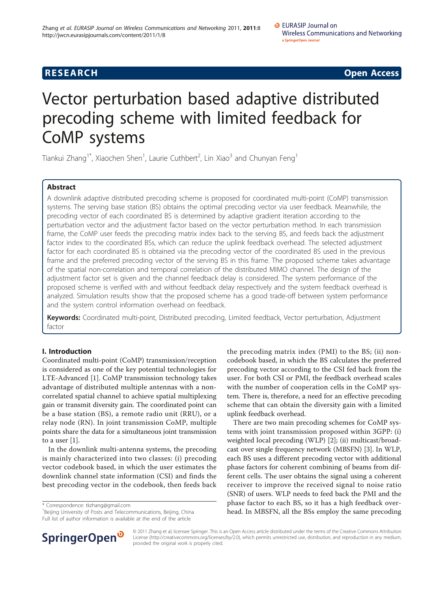**RESEARCH CONSTRUCTION CONSTRUCTS** 

# Vector perturbation based adaptive distributed precoding scheme with limited feedback for CoMP systems

Tiankui Zhang<sup>1\*</sup>, Xiaochen Shen<sup>1</sup>, Laurie Cuthbert<sup>2</sup>, Lin Xiao<sup>3</sup> and Chunyan Feng<sup>1</sup>

## Abstract

A downlink adaptive distributed precoding scheme is proposed for coordinated multi-point (CoMP) transmission systems. The serving base station (BS) obtains the optimal precoding vector via user feedback. Meanwhile, the precoding vector of each coordinated BS is determined by adaptive gradient iteration according to the perturbation vector and the adjustment factor based on the vector perturbation method. In each transmission frame, the CoMP user feeds the precoding matrix index back to the serving BS, and feeds back the adjustment factor index to the coordinated BSs, which can reduce the uplink feedback overhead. The selected adjustment factor for each coordinated BS is obtained via the precoding vector of the coordinated BS used in the previous frame and the preferred precoding vector of the serving BS in this frame. The proposed scheme takes advantage of the spatial non-correlation and temporal correlation of the distributed MIMO channel. The design of the adjustment factor set is given and the channel feedback delay is considered. The system performance of the proposed scheme is verified with and without feedback delay respectively and the system feedback overhead is analyzed. Simulation results show that the proposed scheme has a good trade-off between system performance and the system control information overhead on feedback.

Keywords: Coordinated multi-point, Distributed precoding, Limited feedback, Vector perturbation, Adjustment factor

# I. Introduction

Coordinated multi-point (CoMP) transmission/reception is considered as one of the key potential technologies for LTE-Advanced [[1\]](#page-7-0). CoMP transmission technology takes advantage of distributed multiple antennas with a noncorrelated spatial channel to achieve spatial multiplexing gain or transmit diversity gain. The coordinated point can be a base station (BS), a remote radio unit (RRU), or a relay node (RN). In joint transmission CoMP, multiple points share the data for a simultaneous joint transmission to a user  $[1]$ .

In the downlink multi-antenna systems, the precoding is mainly characterized into two classes: (i) precoding vector codebook based, in which the user estimates the downlink channel state information (CSI) and finds the best precoding vector in the codebook, then feeds back

\* Correspondence: [tkzhang@gmail.com](mailto:tkzhang@gmail.com)

<sup>1</sup>Beijing University of Posts and Telecommunications, Beijing, China Full list of author information is available at the end of the article



There are two main precoding schemes for CoMP systems with joint transmission proposed within 3GPP: (i) weighted local precoding (WLP) [[2\]](#page-7-0); (ii) multicast/broadcast over single frequency network (MBSFN) [[3](#page-7-0)]. In WLP, each BS uses a different precoding vector with additional phase factors for coherent combining of beams from different cells. The user obtains the signal using a coherent receiver to improve the received signal to noise ratio (SNR) of users. WLP needs to feed back the PMI and the phase factor to each BS, so it has a high feedback overhead. In MBSFN, all the BSs employ the same precoding



© 2011 Zhang et al; licensee Springer. This is an Open Access article distributed under the terms of the Creative Commons Attribution License [\(http://creativecommons.org/licenses/by/2.0](http://creativecommons.org/licenses/by/2.0)), which permits unrestricted use, distribution, and reproduction in any medium, provided the original work is properly cited.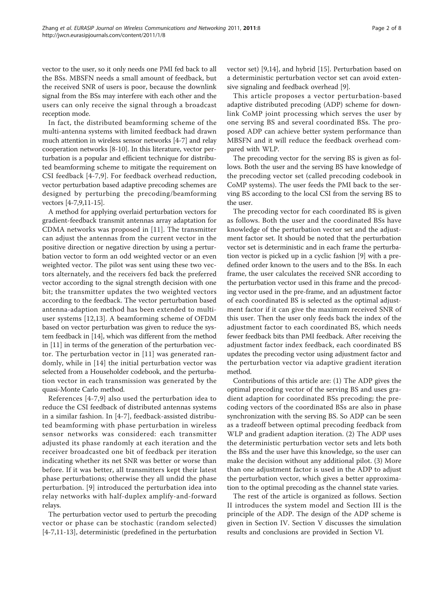vector to the user, so it only needs one PMI fed back to all the BSs. MBSFN needs a small amount of feedback, but the received SNR of users is poor, because the downlink signal from the BSs may interfere with each other and the users can only receive the signal through a broadcast reception mode.

In fact, the distributed beamforming scheme of the multi-antenna systems with limited feedback had drawn much attention in wireless sensor networks [\[4](#page-7-0)-[7](#page-7-0)] and relay cooperation networks [[8-10](#page-7-0)]. In this literature, vector perturbation is a popular and efficient technique for distributed beamforming scheme to mitigate the requirement on CSI feedback [[4-7](#page-7-0),[9\]](#page-7-0). For feedback overhead reduction, vector perturbation based adaptive precoding schemes are designed by perturbing the precoding/beamforming vectors [[4-7,9,11](#page-7-0)-[15](#page-7-0)].

A method for applying overlaid perturbation vectors for gradient-feedback transmit antennas array adaptation for CDMA networks was proposed in [[11\]](#page-7-0). The transmitter can adjust the antennas from the current vector in the positive direction or negative direction by using a perturbation vector to form an odd weighted vector or an even weighted vector. The pilot was sent using these two vectors alternately, and the receivers fed back the preferred vector according to the signal strength decision with one bit; the transmitter updates the two weighted vectors according to the feedback. The vector perturbation based antenna-adaption method has been extended to multiuser systems [[12,13](#page-7-0)]. A beamforming scheme of OFDM based on vector perturbation was given to reduce the system feedback in [\[14](#page-7-0)], which was different from the method in [[11](#page-7-0)] in terms of the generation of the perturbation vector. The perturbation vector in [[11](#page-7-0)] was generated randomly, while in [[14\]](#page-7-0) the initial perturbation vector was selected from a Householder codebook, and the perturbation vector in each transmission was generated by the quasi-Monte Carlo method.

References [[4](#page-7-0)-[7](#page-7-0),[9\]](#page-7-0) also used the perturbation idea to reduce the CSI feedback of distributed antennas systems in a similar fashion. In [\[4](#page-7-0)-[7\]](#page-7-0), feedback-assisted distributed beamforming with phase perturbation in wireless sensor networks was considered: each transmitter adjusted its phase randomly at each iteration and the receiver broadcasted one bit of feedback per iteration indicating whether its net SNR was better or worse than before. If it was better, all transmitters kept their latest phase perturbations; otherwise they all undid the phase perturbation. [[9](#page-7-0)] introduced the perturbation idea into relay networks with half-duplex amplify-and-forward relays.

The perturbation vector used to perturb the precoding vector or phase can be stochastic (random selected) [[4-7,11](#page-7-0)-[13\]](#page-7-0), deterministic (predefined in the perturbation vector set) [[9,14\]](#page-7-0), and hybrid [\[15](#page-7-0)]. Perturbation based on a deterministic perturbation vector set can avoid extensive signaling and feedback overhead [[9\]](#page-7-0).

This article proposes a vector perturbation-based adaptive distributed precoding (ADP) scheme for downlink CoMP joint processing which serves the user by one serving BS and several coordinated BSs. The proposed ADP can achieve better system performance than MBSFN and it will reduce the feedback overhead compared with WLP.

The precoding vector for the serving BS is given as follows. Both the user and the serving BS have knowledge of the precoding vector set (called precoding codebook in CoMP systems). The user feeds the PMI back to the serving BS according to the local CSI from the serving BS to the user.

The precoding vector for each coordinated BS is given as follows. Both the user and the coordinated BSs have knowledge of the perturbation vector set and the adjustment factor set. It should be noted that the perturbation vector set is deterministic and in each frame the perturbation vector is picked up in a cyclic fashion [[9\]](#page-7-0) with a predefined order known to the users and to the BSs. In each frame, the user calculates the received SNR according to the perturbation vector used in this frame and the precoding vector used in the pre-frame, and an adjustment factor of each coordinated BS is selected as the optimal adjustment factor if it can give the maximum received SNR of this user. Then the user only feeds back the index of the adjustment factor to each coordinated BS, which needs fewer feedback bits than PMI feedback. After receiving the adjustment factor index feedback, each coordinated BS updates the precoding vector using adjustment factor and the perturbation vector via adaptive gradient iteration method.

Contributions of this article are: (1) The ADP gives the optimal precoding vector of the serving BS and uses gradient adaption for coordinated BSs precoding; the precoding vectors of the coordinated BSs are also in phase synchronization with the serving BS. So ADP can be seen as a tradeoff between optimal precoding feedback from WLP and gradient adaption iteration. (2) The ADP uses the deterministic perturbation vector sets and lets both the BSs and the user have this knowledge, so the user can make the decision without any additional pilot. (3) More than one adjustment factor is used in the ADP to adjust the perturbation vector, which gives a better approximation to the optimal precoding as the channel state varies.

The rest of the article is organized as follows. Section II introduces the system model and Section III is the principle of the ADP. The design of the ADP scheme is given in Section IV. Section V discusses the simulation results and conclusions are provided in Section VI.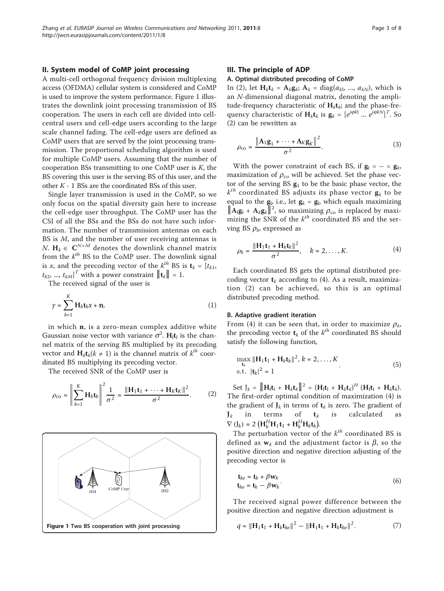#### II. System model of CoMP joint processing

A multi-cell orthogonal frequency division multiplexing access (OFDMA) cellular system is considered and CoMP is used to improve the system performance. Figure 1 illustrates the downlink joint processing transmission of BS cooperation. The users in each cell are divided into cellcentral users and cell-edge users according to the large scale channel fading. The cell-edge users are defined as CoMP users that are served by the joint processing transmission. The proportional scheduling algorithm is used for multiple CoMP users. Assuming that the number of cooperation BSs transmitting to one CoMP user is  $K$ , the BS covering this user is the serving BS of this user, and the other  $K - 1$  BSs are the coordinated BSs of this user.

Single layer transmission is used in the CoMP, so we only focus on the spatial diversity gain here to increase the cell-edge user throughput. The CoMP user has the CSI of all the BSs and the BSs do not have such information. The number of transmission antennas on each BS is *M*, and the number of user receiving antennas is N.  $H_k \in \mathbb{C}^{N \times M}$  denotes the downlink channel matrix from the  $k^{th}$  BS to the CoMP user. The downlink signal is x, and the precoding vector of the  $k^{th}$  BS is  $\mathbf{t}_k = [t_{k1},$  $t_{k2}$ , ...,  $t_{kM}$ <sup>T</sup> with a power constraint  $\|\mathbf{t}_k\| = 1$ .<br>The received signal of the user is

The received signal of the user is

$$
\gamma = \sum_{k=1}^{K} \mathbf{H}_k \mathbf{t}_k x + \mathbf{n},\tag{1}
$$

in which n, is a zero-mean complex additive white Gaussian noise vector with variance  $\sigma^2$ . H<sub>1</sub>t<sub>1</sub> is the chan-<br>nel matrix of the serving BS multiplied by its preceding nel matrix of the serving BS multiplied by its precoding vector and  $H_kt_k(k \neq 1)$  is the channel matrix of  $k^{th}$  coordinated BS multiplying its precoding vector.

The received SNR of the CoMP user is

$$
\rho_{\text{co}} = \left\| \sum_{k=1}^{K} \mathbf{H}_k \mathbf{t}_k \right\|^2 \frac{1}{\sigma^2} = \frac{\| \mathbf{H}_1 \mathbf{t}_1 + \dots + \mathbf{H}_K \mathbf{t}_K \|^2}{\sigma^2}.
$$
 (2)



#### III. The principle of ADP

#### A. Optimal distributed precoding of CoMP

In (2), let  $H_kt_k = A_kg_k$ ;  $A_k = diag(a_{k1}, ..., a_{kN})$ , which is an N-dimensional diagonal matrix, denoting the amplitude-frequency characteristic of  $H_kt_k$ ; and the phase-fre-<br>quency characteristic of H.t. is  $g_i = [e^{j\varphi k}]$   $e^{j\varphi kN}$ <sup>T</sup> So quency characteristic of  $H_k t_k$  is  $\mathbf{g}_k = [e^{j\varphi k} \dots e^{j\varphi k} ]^T$ . So (2) can be rewritten as

$$
\rho_{\rm co} = \frac{\|A_1 g_1 + \dots + A_K g_K\|^2}{\sigma^2}.
$$
\n(3)

With the power constraint of each BS, if  $\mathbf{g}_{\parallel} = \cdots = \mathbf{g}_{k}$ , maximization of  $\rho_{\rm co}$  will be achieved. Set the phase vector of the serving BS  $g_1$  to be the basic phase vector, the  $k^{th}$  coordinated BS adjusts its phase vector  $\mathbf{g}_k$  to be equal to the  $\mathbf{g}_l$ , i.e., let  $\mathbf{g}_k = \mathbf{g}_l$ , which equals maximizing  $\|\mathbf{A}_{1}\mathbf{g}_{1} + \mathbf{A}_{k}\mathbf{g}_{k}\|^{2}$ , so maximizing  $\rho_{\rm co}$  is replaced by maximizing the SNR of the  $k^{th}$  coordinated BS and the sermizing the SNR of the  $k^{th}$  coordinated BS and the serving BS  $\rho_k$ , expressed as

$$
\rho_k = \frac{\|\mathbf{H}_1 \mathbf{t}_1 + \mathbf{H}_k \mathbf{t}_k\|^2}{\sigma^2}, \quad k = 2, \dots, K. \tag{4}
$$

Each coordinated BS gets the optimal distributed precoding vector  $t_k$  according to (4). As a result, maximization (2) can be achieved, so this is an optimal distributed precoding method.

#### B. Adaptive gradient iteration

From (4) it can be seen that, in order to maximize  $\rho_k$ , the precoding vector  $\mathbf{t}_k$  of the  $k^{th}$  coordinated BS should satisfy the following function,

$$
\max_{\mathbf{t}_k} \|\mathbf{H}_1 \mathbf{t}_1 + \mathbf{H}_k \mathbf{t}_k\|^2, k = 2, ..., K
$$
  
s.t.  $|\mathbf{t}_k|^2 = 1$  (5)

Set  $J_k = ||\mathbf{H}_l \mathbf{t}_l + \mathbf{H}_k \mathbf{t}_k||^2 = (\mathbf{H}_l \mathbf{t}_l + \mathbf{H}_k \mathbf{t}_k)^H (\mathbf{H}_l \mathbf{t}_l + \mathbf{H}_k \mathbf{t}_k)$ . The first-order optimal condition of maximization (4) is the gradient of  $J_k$  in terms of  $t_k$  is zero. The gradient of  $J_k$  in terms of  $t_k$  is calculated as  $\mathbf{t}_k$  is calculated  $\nabla$  (J<sub>k</sub>) = 2 ( $\mathbf{H}_k^H \mathbf{H}_1 \mathbf{t}_1 + \mathbf{H}_k^H \mathbf{H}_k \mathbf{t}_k$ ).

The perturbation vector of the  $k^{th}$  coordinated BS is defined as  $w_k$  and the adjustment factor is  $\beta$ , so the positive direction and negative direction adjusting of the precoding vector is

$$
\mathbf{t}_{ke} = \mathbf{t}_k + \beta \mathbf{w}_k \n\mathbf{t}_{ko} = \mathbf{t}_k - \beta \mathbf{w}_k
$$
\n(6)

The received signal power difference between the positive direction and negative direction adjustment is

$$
q = \|H_1t_1 + H_kt_{ke}\|^2 - \|H_1t_1 + H_kt_{ko}\|^2. \tag{7}
$$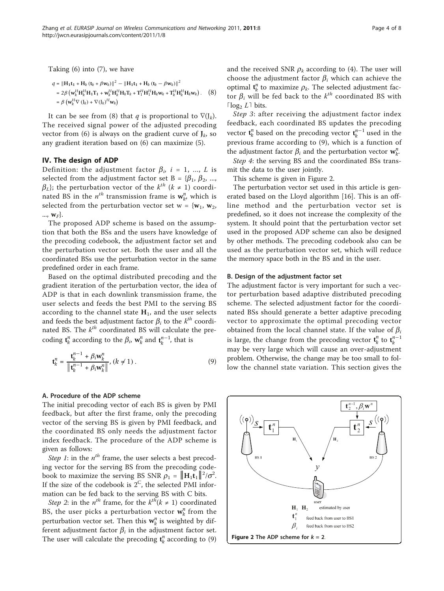Taking (6) into (7), we have

$$
q = \|\mathbf{H}_1 \mathbf{t}_1 + \mathbf{H}_k (\mathbf{t}_k + \beta \mathbf{w}_k) \|^2 - \|\mathbf{H}_1 \mathbf{t}_1 + \mathbf{H}_k (\mathbf{t}_k - \beta \mathbf{w}_k) \|^2
$$
  
=  $2\beta \left( \mathbf{w}_k^H \mathbf{H}_k^H \mathbf{H}_1 \mathbf{T}_1 + \mathbf{w}_k^H \mathbf{H}_k^H \mathbf{H}_k \mathbf{T}_k + \mathbf{T}_1^H \mathbf{H}_1^H \mathbf{H}_k \mathbf{w}_k + \mathbf{T}_k^H \mathbf{H}_k^H \mathbf{H}_k \mathbf{w}_k \right).$  (8)  
=  $\beta \left( \mathbf{w}_k^H \nabla (\mathbf{I}_k) + \nabla (\mathbf{I}_k)^H \mathbf{w}_k \right)$ 

It can be see from (8) that q is proportional to  $\nabla(J_k)$ . The received signal power of the adjusted precoding vector from (6) is always on the gradient curve of  $J_k$ , so any gradient iteration based on (6) can maximize (5).

#### IV. The design of ADP

Definition: the adjustment factor  $\beta_i$ ,  $i = 1, ..., L$  is selected from the adjustment factor set B =  $\{\beta_1, \beta_2, ...,$  $\beta_L$ ); the perturbation vector of the  $k^{th}$  ( $k \neq 1$ ) coordinated BS in the  $n^{th}$  transmission frame is  $\mathbf{w}_k^n$ , which is selected from the perturbation vector set  $w = \{w_1, w_2,$ ...,  $W_F$ .

The proposed ADP scheme is based on the assumption that both the BSs and the users have knowledge of the precoding codebook, the adjustment factor set and the perturbation vector set. Both the user and all the coordinated BSs use the perturbation vector in the same predefined order in each frame.

Based on the optimal distributed precoding and the gradient iteration of the perturbation vector, the idea of ADP is that in each downlink transmission frame, the user selects and feeds the best PMI to the serving BS according to the channel state  $H_1$ , and the user selects and feeds the best adjustment factor  $\beta_i$  to the  $k^{th}$  coordinated BS. The  $k^{th}$  coordinated BS will calculate the precoding  $\mathbf{t}_k^n$  according to the  $\beta_i$ ,  $\mathbf{w}_k^n$  and  $\mathbf{t}_k^{n-1}$ , that is

$$
\mathbf{t}_{k}^{n} = \frac{\mathbf{t}_{k}^{n-1} + \beta_{i} \mathbf{w}_{k}^{n}}{\left\| \mathbf{t}_{k}^{n-1} + \beta_{i} \mathbf{w}_{k}^{n} \right\|}, (k \neq 1). \tag{9}
$$

#### A. Procedure of the ADP scheme

The initial precoding vector of each BS is given by PMI feedback, but after the first frame, only the precoding vector of the serving BS is given by PMI feedback, and the coordinated BS only needs the adjustment factor index feedback. The procedure of the ADP scheme is given as follows:

Step 1: in the  $n^{th}$  frame, the user selects a best precoding vector for the serving BS from the precoding codebook to maximize the serving BS SNR  $\rho_1 = ||\mathbf{H}_1 \mathbf{t}_1||^2 / \sigma^2$ .<br>If the size of the codebook is 2<sup>C</sup> the selected PMI infor-If the size of the codebook is  $2^C$ , the selected PMI information can be fed back to the serving BS with C bits.

Step 2: in the  $n^{th}$  frame, for the  $k^{th}(k \neq 1)$  coordinated BS, the user picks a perturbation vector  $\mathbf{w}_k^n$  from the perturbation vector set. Then this  $\mathbf{w}_k^n$  is weighted by different adjustment factor  $\beta_i$  in the adjustment factor set. The user will calculate the precoding  $\mathbf{t}_k^n$  according to (9)

and the received SNR  $\rho_k$  according to (4). The user will choose the adjustment factor  $\beta_i$  which can achieve the optimal  $\mathbf{t}_k^n$  to maximize  $\rho_k$ . The selected adjustment factor  $\beta_i$  will be fed back to the  $k^{th}$  coordinated BS with  $\lceil \log_2 L \rceil$  bits.

Step 3: after receiving the adjustment factor index feedback, each coordinated BS updates the precoding vector  $\mathbf{t}_k^n$  based on the precoding vector  $\mathbf{t}_k^{n-1}$  used in the previous frame according to (9), which is a function of the adjustment factor  $\beta_i$  and the perturbation vector  $\mathbf{w}_k^n$ .

Step 4: the serving BS and the coordinated BSs transmit the data to the user jointly.

This scheme is given in Figure 2.

The perturbation vector set used in this article is generated based on the Lloyd algorithm [[16](#page-7-0)]. This is an offline method and the perturbation vector set is predefined, so it does not increase the complexity of the system. It should point that the perturbation vector set used in the proposed ADP scheme can also be designed by other methods. The precoding codebook also can be used as the perturbation vector set, which will reduce the memory space both in the BS and in the user.

#### B. Design of the adjustment factor set

The adjustment factor is very important for such a vector perturbation based adaptive distributed precoding scheme. The selected adjustment factor for the coordinated BSs should generate a better adaptive precoding vector to approximate the optimal precoding vector obtained from the local channel state. If the value of  $\beta_i$ is large, the change from the precoding vector  $\mathbf{t}_k^n$  to  $\mathbf{t}_k^{n-1}$ may be very large which will cause an over-adjustment problem. Otherwise, the change may be too small to follow the channel state variation. This section gives the

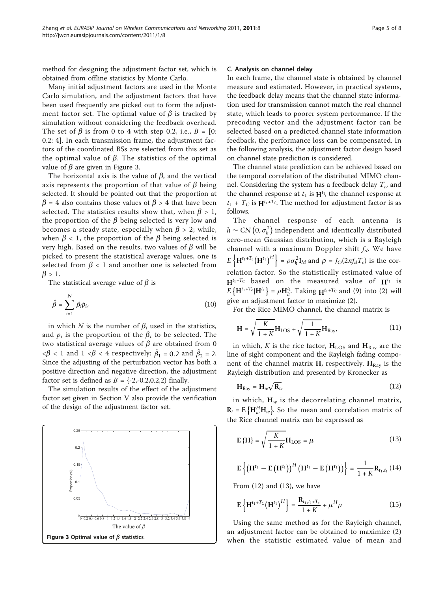method for designing the adjustment factor set, which is obtained from offline statistics by Monte Carlo.

Many initial adjustment factors are used in the Monte Carlo simulation, and the adjustment factors that have been used frequently are picked out to form the adjustment factor set. The optimal value of  $\beta$  is tracked by simulation without considering the feedback overhead. The set of  $\beta$  is from 0 to 4 with step 0.2, i.e.,  $B = [0:$ 0.2: 4]. In each transmission frame, the adjustment factors of the coordinated BSs are selected from this set as the optimal value of  $\beta$ . The statistics of the optimal value of  $\beta$  are given in Figure 3.

The horizontal axis is the value of  $\beta$ , and the vertical axis represents the proportion of that value of  $\beta$  being selected. It should be pointed out that the proportion at  $\beta$  = 4 also contains those values of  $\beta$  > 4 that have been selected. The statistics results show that, when  $\beta > 1$ , the proportion of the  $\beta$  being selected is very low and becomes a steady state, especially when  $\beta$  > 2; while, when  $\beta$  < 1, the proportion of the  $\beta$  being selected is very high. Based on the results, two values of  $\beta$  will be picked to present the statistical average values, one is selected from  $\beta$  < 1 and another one is selected from  $\beta > 1$ .

The statistical average value of  $\beta$  is

$$
\hat{\beta} = \sum_{i=1}^{N} \beta_i p_i,
$$
\n(10)

in which N is the number of  $\beta_i$  used in the statistics, and  $p_i$  is the proportion of the  $\beta_i$  to be selected. The two statistical average values of  $\beta$  are obtained from 0 <β < 1 and 1 <β < 4 respectively:  $\hat{\beta}_1$  = 0.2 and  $\hat{\beta}_2$  = 2. Since the adjusting of the perturbation vector has both a positive direction and negative direction, the adjustment factor set is defined as  $B = \{-2,-0.2,0.2,2\}$  finally.

The simulation results of the effect of the adjustment factor set given in Section V also provide the verification of the design of the adjustment factor set.



#### C. Analysis on channel delay

In each frame, the channel state is obtained by channel measure and estimated. However, in practical systems, the feedback delay means that the channel state information used for transmission cannot match the real channel state, which leads to poorer system performance. If the precoding vector and the adjustment factor can be selected based on a predicted channel state information feedback, the performance loss can be compensated. In the following analysis, the adjustment factor design based on channel state prediction is considered.

The channel state prediction can be achieved based on the temporal correlation of the distributed MIMO channel. Considering the system has a feedback delay  $T_c$ , and the channel response at  $t_1$  is  $H^{t_1}$ , the channel response at  $t_1 + T_C$  is  $\mathbf{H}^{t_1+T_C}$ . The method for adjustment factor is as follows.

The channel response of each antenna is  $h \sim CN(0,\sigma_h^2)$  independent and identically distributed zero-mean Gaussian distribution, which is a Rayleigh channel with a maximum Doppler shift  $f_d$ . We have  $E\left\{H^{t_1+T_c}\left(H^{t_1}\right)^H\right\} = \rho \sigma_h^2 \mathbf{I}_M$  and  $\rho = J_O(2\pi f_d T_c)$  is the correlation factor. So the statistically estimated value of  $H^{t_1+T_C}$  based on the measured value of  $H^{t_1}$  is  $E\left\{ \mathbf{H}^{t_1+T_c} | \mathbf{H}^{t_1} \right\} = \rho \mathbf{H}_{k}^{t_1}$ . Taking  $\mathbf{H}^{t_1+T_c}$  and (9) into (2) will give an adjustment factor to maximize (2).

For the Rice MIMO channel, the channel matrix is

$$
H = \sqrt{\frac{K}{1 + K}} H_{\text{LOS}} + \sqrt{\frac{1}{1 + K}} H_{\text{Ray}} \tag{11}
$$

in which, K is the rice factor,  $H_{LOS}$  and  $H_{Ray}$  are the line of sight component and the Rayleigh fading component of the channel matrix **H**, respectively.  $H_{\text{Ray}}$  is the Rayleigh distribution and presented by Kronecker as

$$
H_{Ray} = H_w \sqrt{R_t}, \qquad (12)
$$

in which,  $H_w$  is the decorrelating channel matrix,  $\mathbf{R}_t = \mathbf{E} \left\{ \mathbf{H}^H_w \mathbf{H}_w \right\}$ . So the mean and correlation matrix of the Rice channel matrix can be expressed as

$$
\mathbf{E} \left\{ \mathbf{H} \right\} = \sqrt{\frac{K}{1 + K}} \mathbf{H}_{\text{LOS}} = \mu \tag{13}
$$

$$
E\left\{ \left( H^{t_1} - E\left( H^{t_1} \right) \right)^H \left( H^{t_1} - E\left( H^{t_1} \right) \right) \right\} = \frac{1}{1+K} R_{t_1,t_1} (14)
$$

From (12) and (13), we have

$$
\mathbf{E}\left\{\mathbf{H}^{t_1+T_C}\big(\mathbf{H}^{t_1}\big)^H\right\} = \frac{\mathbf{R}_{t_1,t_1+T_c}}{1+K} + \mu^H\mu
$$
\n(15)

Using the same method as for the Rayleigh channel, an adjustment factor can be obtained to maximize (2) when the statistic estimated value of mean and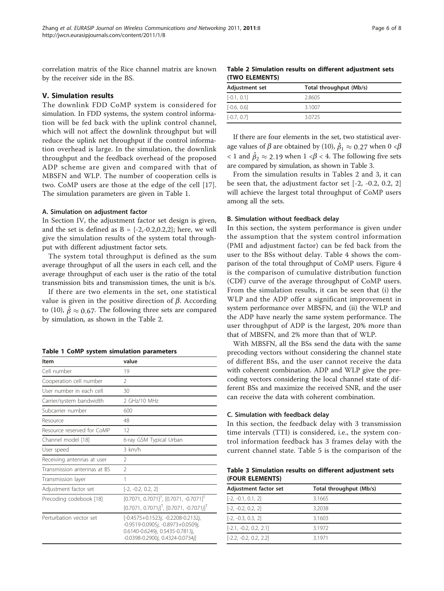correlation matrix of the Rice channel matrix are known by the receiver side in the BS.

#### V. Simulation results

The downlink FDD CoMP system is considered for simulation. In FDD systems, the system control information will be fed back with the uplink control channel, which will not affect the downlink throughput but will reduce the uplink net throughput if the control information overhead is large. In the simulation, the downlink throughput and the feedback overhead of the proposed ADP scheme are given and compared with that of MBSFN and WLP. The number of cooperation cells is two. CoMP users are those at the edge of the cell [[17](#page-7-0)]. The simulation parameters are given in Table 1.

#### A. Simulation on adjustment factor

In Section IV, the adjustment factor set design is given, and the set is defined as  $B = \{-2,-0.2,0.2,2\}$ ; here, we will give the simulation results of the system total throughput with different adjustment factor sets.

The system total throughput is defined as the sum average throughput of all the users in each cell, and the average throughput of each user is the ratio of the total transmission bits and transmission times, the unit is b/s.

If there are two elements in the set, one statistical value is given in the positive direction of  $\beta$ . According to (10),  $\hat{\beta} \approx 0.67$ . The following three sets are compared by simulation, as shown in the Table 2.

Table 1 CoMP system simulation parameters

| Item                        | value                                                                                                                                                         |
|-----------------------------|---------------------------------------------------------------------------------------------------------------------------------------------------------------|
| Cell number                 | 19                                                                                                                                                            |
| Cooperation cell number     | 2                                                                                                                                                             |
| User number in each cell    | 30                                                                                                                                                            |
| Carrier/system bandwidth    | 2 GHz/10 MHz                                                                                                                                                  |
| Subcarrier number           | 600                                                                                                                                                           |
| Resource                    | 48                                                                                                                                                            |
| Resource reserved for CoMP  | 12                                                                                                                                                            |
| Channel model [18]          | 6-ray GSM Typical Urban                                                                                                                                       |
| User speed                  | 3 km/h                                                                                                                                                        |
| Receiving antennas at user  | 2                                                                                                                                                             |
| Transmission antennas at BS | $\mathfrak{D}$                                                                                                                                                |
| Transmission layer          | 1                                                                                                                                                             |
| Adjustment factor set       | [-2, -0.2, 0.2, 2]                                                                                                                                            |
| Precoding codebook [18]     | $[0.7071, 0.7071]^{T}$ , $[0.7071, -0.7071]^{T}$<br>$[0.7071, 0.7071j]^{T}$ , $[0.7071, -0.7071j]^{T}$                                                        |
| Perturbation vector set     | [-0.4575+0.1523j, -0.2208-0.2132j,<br>$-0.9519 - 0.0905$ j, $-0.8973 + 0.0509$ j,<br>0.6140-0.6249j, 0.5435-0.7813j,<br>$-0.0398 - 0.2900$ j, 0.4324-0.0734j] |

Table 2 Simulation results on different adjustment sets (TWO ELEMENTS)

| Adjustment set | Total throughput (Mb/s) |  |
|----------------|-------------------------|--|
| $[-0.1, 0.1]$  | 2.8605                  |  |
| $[-0.6, 0.6]$  | 3.1007                  |  |
| $[-0.7, 0.7]$  | 3.0725                  |  |

If there are four elements in the set, two statistical average values of  $\beta$  are obtained by (10),  $\hat{\beta}_1 \approx 0.27$  when  $0 < \beta$  $< 1$  and  $\hat{\beta}_2 \approx 2.19$  when  $1 \leq \beta \leq 4$ . The following five sets are compared by simulation, as shown in Table 3.

From the simulation results in Tables 2 and 3, it can be seen that, the adjustment factor set [-2, -0.2, 0.2, 2] will achieve the largest total throughput of CoMP users among all the sets.

#### B. Simulation without feedback delay

In this section, the system performance is given under the assumption that the system control information (PMI and adjustment factor) can be fed back from the user to the BSs without delay. Table [4](#page-6-0) shows the comparison of the total throughput of CoMP users. Figure [4](#page-6-0) is the comparison of cumulative distribution function (CDF) curve of the average throughput of CoMP users. From the simulation results, it can be seen that (i) the WLP and the ADP offer a significant improvement in system performance over MBSFN, and (ii) the WLP and the ADP have nearly the same system performance. The user throughput of ADP is the largest, 20% more than that of MBSFN, and 2% more than that of WLP.

With MBSFN, all the BSs send the data with the same precoding vectors without considering the channel state of different BSs, and the user cannot receive the data with coherent combination. ADP and WLP give the precoding vectors considering the local channel state of different BSs and maximize the received SNR, and the user can receive the data with coherent combination.

#### C. Simulation with feedback delay

In this section, the feedback delay with 3 transmission time intervals (TTI) is considered, i.e., the system control information feedback has 3 frames delay with the current channel state. Table [5](#page-6-0) is the comparison of the

Table 3 Simulation results on different adjustment sets (FOUR ELEMENTS)

| Adjustment factor set    | Total throughput (Mb/s) |
|--------------------------|-------------------------|
| $[-2, -0.1, 0.1, 2]$     | 3.1665                  |
| $[-2, -0.2, 0.2, 2]$     | 3.2038                  |
| $[-2, -0.3, 0.3, 2]$     | 3.1603                  |
| $[-2.1, -0.2, 0.2, 2.1]$ | 31972                   |
| $[-2.2, -0.2, 0.2, 2.2]$ | 31971                   |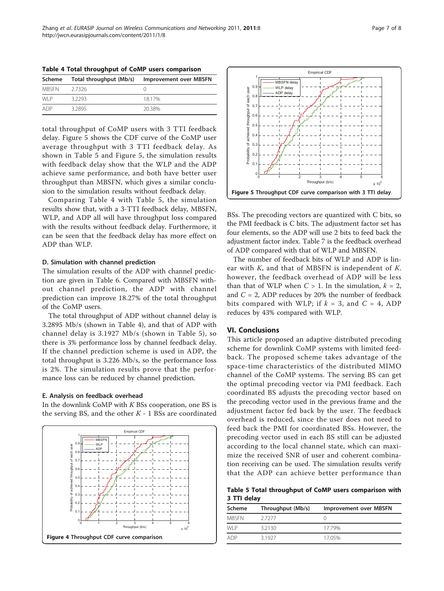| Total throughput (Mb/s) | <b>Improvement over MBSFN</b> |
|-------------------------|-------------------------------|
| 27326                   |                               |
| 32293                   | 18 17%                        |
| 3.2895                  | 20.38%                        |
|                         |                               |

<span id="page-6-0"></span>Table 4 Total throughput of CoMP users comparison

total throughput of CoMP users with 3 TTI feedback delay. Figure 5 shows the CDF curve of the CoMP user average throughput with 3 TTI feedback delay. As shown in Table 5 and Figure 5, the simulation results with feedback delay show that the WLP and the ADP achieve same performance, and both have better user throughput than MBSFN, which gives a similar conclusion to the simulation results without feedback delay.

Comparing Table 4 with Table 5, the simulation results show that, with a 3-TTI feedback delay, MBSFN, WLP, and ADP all will have throughput loss compared with the results without feedback delay. Furthermore, it can be seen that the feedback delay has more effect on ADP than WLP.

#### D. Simulation with channel prediction

The simulation results of the ADP with channel prediction are given in Table [6.](#page-7-0) Compared with MBSFN without channel prediction, the ADP with channel prediction can improve 18.27% of the total throughput of the CoMP users.

The total throughput of ADP without channel delay is 3.2895 Mb/s (shown in Table 4), and that of ADP with channel delay is 3.1927 Mb/s (shown in Table 5), so there is 3% performance loss by channel feedback delay. If the channel prediction scheme is used in ADP, the total throughput is 3.226 Mb/s, so the performance loss is 2%. The simulation results prove that the performance loss can be reduced by channel prediction.

#### E. Analysis on feedback overhead

In the downlink CoMP with  $K$  BSs cooperation, one BS is the serving BS, and the other  $K - 1$  BSs are coordinated





BSs. The precoding vectors are quantized with C bits, so the PMI feedback is C bits. The adjustment factor set has four elements, so the ADP will use 2 bits to feed back the adjustment factor index. Table [7](#page-7-0) is the feedback overhead of ADP compared with that of WLP and MBSFN.

The number of feedback bits of WLP and ADP is linear with  $K$ , and that of MBSFN is independent of  $K$ . however, the feedback overhead of ADP will be less than that of WLP when  $C > 1$ . In the simulation,  $k = 2$ , and  $C = 2$ , ADP reduces by 20% the number of feedback bits compared with WLP; if  $k = 3$ , and  $C = 4$ , ADP reduces by 43% compared with WLP.

### VI. Conclusions

This article proposed an adaptive distributed precoding scheme for downlink CoMP systems with limited feedback. The proposed scheme takes advantage of the space-time characteristics of the distributed MIMO channel of the CoMP systems. The serving BS can get the optimal precoding vector via PMI feedback. Each coordinated BS adjusts the precoding vector based on the precoding vector used in the previous frame and the adjustment factor fed back by the user. The feedback overhead is reduced, since the user does not need to feed back the PMI for coordinated BSs. However, the precoding vector used in each BS still can be adjusted according to the local channel state, which can maximize the received SNR of user and coherent combination receiving can be used. The simulation results verify that the ADP can achieve better performance than

Table 5 Total throughput of CoMP users comparison with 3 TTI delay

| Scheme       | Throughput (Mb/s) | <b>Improvement over MBSFN</b> |
|--------------|-------------------|-------------------------------|
| <b>MBSEN</b> | 27277             |                               |
| WI P         | 3.2130            | 1779%                         |
| ADP          | 3.1927            | 17.05%                        |